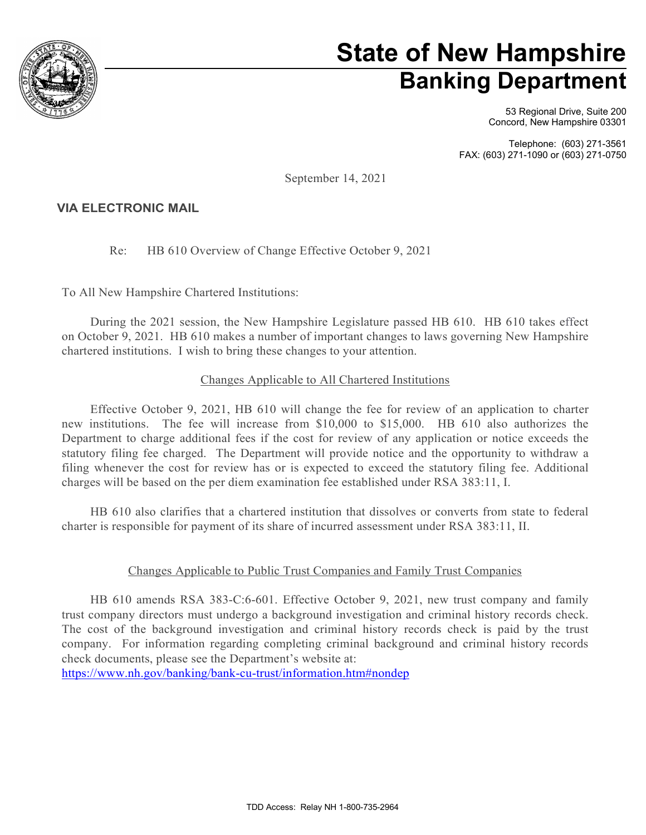

# **State of New Hampshire Banking Department**

53 Regional Drive, Suite 200 Concord, New Hampshire 03301

Telephone: (603) 271-3561 FAX: (603) 271-1090 or (603) 271-0750

September 14, 2021

### **VIA ELECTRONIC MAIL**

Re: HB 610 Overview of Change Effective October 9, 2021

To All New Hampshire Chartered Institutions:

During the 2021 session, the New Hampshire Legislature passed HB 610. HB 610 takes effect on October 9, 2021. HB 610 makes a number of important changes to laws governing New Hampshire chartered institutions. I wish to bring these changes to your attention.

### Changes Applicable to All Chartered Institutions

Effective October 9, 2021, HB 610 will change the fee for review of an application to charter new institutions. The fee will increase from \$10,000 to \$15,000. HB 610 also authorizes the Department to charge additional fees if the cost for review of any application or notice exceeds the statutory filing fee charged. The Department will provide notice and the opportunity to withdraw a filing whenever the cost for review has or is expected to exceed the statutory filing fee. Additional charges will be based on the per diem examination fee established under RSA 383:11, I.

HB 610 also clarifies that a chartered institution that dissolves or converts from state to federal charter is responsible for payment of its share of incurred assessment under RSA 383:11, II.

#### Changes Applicable to Public Trust Companies and Family Trust Companies

HB 610 amends RSA 383-C:6-601. Effective October 9, 2021, new trust company and family trust company directors must undergo a background investigation and criminal history records check. The cost of the background investigation and criminal history records check is paid by the trust company. For information regarding completing criminal background and criminal history records check documents, please see the Department's website at:

<https://www.nh.gov/banking/bank-cu-trust/information.htm#nondep>